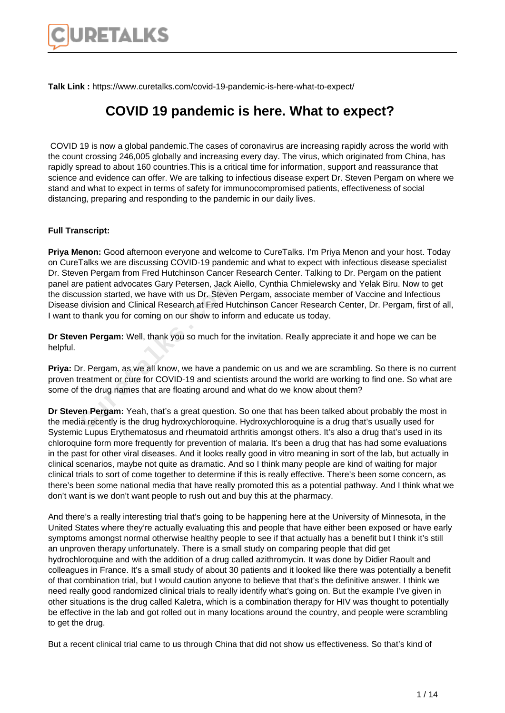

**Talk Link :** https://www.curetalks.com/covid-19-pandemic-is-here-what-to-expect/

## **COVID 19 pandemic is here. What to expect?**

 COVID 19 is now a global pandemic.The cases of coronavirus are increasing rapidly across the world with the count crossing 246,005 globally and increasing every day. The virus, which originated from China, has rapidly spread to about 160 countries.This is a critical time for information, support and reassurance that science and evidence can offer. We are talking to infectious disease expert Dr. Steven Pergam on where we stand and what to expect in terms of safety for immunocompromised patients, effectiveness of social distancing, preparing and responding to the pandemic in our daily lives.

## **Full Transcript:**

**Priya Menon:** Good afternoon everyone and welcome to CureTalks. I'm Priya Menon and your host. Today on CureTalks we are discussing COVID-19 pandemic and what to expect with infectious disease specialist Dr. Steven Pergam from Fred Hutchinson Cancer Research Center. Talking to Dr. Pergam on the patient panel are patient advocates Gary Petersen, Jack Aiello, Cynthia Chmielewsky and Yelak Biru. Now to get the discussion started, we have with us Dr. Steven Pergam, associate member of Vaccine and Infectious Disease division and Clinical Research at Fred Hutchinson Cancer Research Center, Dr. Pergam, first of all, I want to thank you for coming on our show to inform and educate us today. e patient advocates Gary Petersen, Jack Jussion started, we have with us Dr. Stever<br>division and Clinical Research at Fred Hu<br>thank you for coming on our show to info<br>en Pergam: Well, thank you so much for t<br>proper Pergam,

**Dr Steven Pergam:** Well, thank you so much for the invitation. Really appreciate it and hope we can be helpful.

**Priya:** Dr. Pergam, as we all know, we have a pandemic on us and we are scrambling. So there is no current proven treatment or cure for COVID-19 and scientists around the world are working to find one. So what are some of the drug names that are floating around and what do we know about them?

**Dr Steven Pergam:** Yeah, that's a great question. So one that has been talked about probably the most in the media recently is the drug hydroxychloroquine. Hydroxychloroquine is a drug that's usually used for Systemic Lupus Erythematosus and rheumatoid arthritis amongst others. It's also a drug that's used in its chloroquine form more frequently for prevention of malaria. It's been a drug that has had some evaluations in the past for other viral diseases. And it looks really good in vitro meaning in sort of the lab, but actually in clinical scenarios, maybe not quite as dramatic. And so I think many people are kind of waiting for major clinical trials to sort of come together to determine if this is really effective. There's been some concern, as there's been some national media that have really promoted this as a potential pathway. And I think what we don't want is we don't want people to rush out and buy this at the pharmacy.

And there's a really interesting trial that's going to be happening here at the University of Minnesota, in the United States where they're actually evaluating this and people that have either been exposed or have early symptoms amongst normal otherwise healthy people to see if that actually has a benefit but I think it's still an unproven therapy unfortunately. There is a small study on comparing people that did get hydrochloroquine and with the addition of a drug called azithromycin. It was done by Didier Raoult and colleagues in France. It's a small study of about 30 patients and it looked like there was potentially a benefit of that combination trial, but I would caution anyone to believe that that's the definitive answer. I think we need really good randomized clinical trials to really identify what's going on. But the example I've given in other situations is the drug called Kaletra, which is a combination therapy for HIV was thought to potentially be effective in the lab and got rolled out in many locations around the country, and people were scrambling to get the drug.

But a recent clinical trial came to us through China that did not show us effectiveness. So that's kind of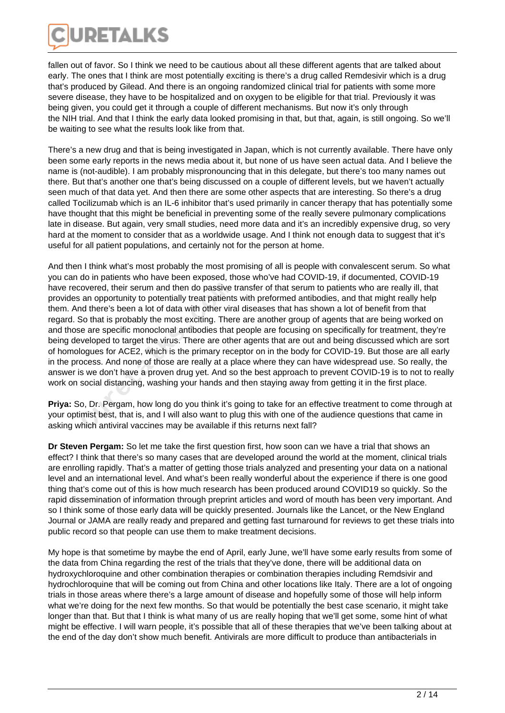

fallen out of favor. So I think we need to be cautious about all these different agents that are talked about early. The ones that I think are most potentially exciting is there's a drug called Remdesivir which is a drug that's produced by Gilead. And there is an ongoing randomized clinical trial for patients with some more severe disease, they have to be hospitalized and on oxygen to be eligible for that trial. Previously it was being given, you could get it through a couple of different mechanisms. But now it's only through the NIH trial. And that I think the early data looked promising in that, but that, again, is still ongoing. So we'll be waiting to see what the results look like from that.

There's a new drug and that is being investigated in Japan, which is not currently available. There have only been some early reports in the news media about it, but none of us have seen actual data. And I believe the name is (not-audible). I am probably mispronouncing that in this delegate, but there's too many names out there. But that's another one that's being discussed on a couple of different levels, but we haven't actually seen much of that data yet. And then there are some other aspects that are interesting. So there's a drug called Tocilizumab which is an IL-6 inhibitor that's used primarily in cancer therapy that has potentially some have thought that this might be beneficial in preventing some of the really severe pulmonary complications late in disease. But again, very small studies, need more data and it's an incredibly expensive drug, so very hard at the moment to consider that as a worldwide usage. And I think not enough data to suggest that it's useful for all patient populations, and certainly not for the person at home.

And then I think what's most probably the most promising of all is people with convalescent serum. So what you can do in patients who have been exposed, those who've had COVID-19, if documented, COVID-19 have recovered, their serum and then do passive transfer of that serum to patients who are really ill, that provides an opportunity to potentially treat patients with preformed antibodies, and that might really help them. And there's been a lot of data with other viral diseases that has shown a lot of benefit from that regard. So that is probably the most exciting. There are another group of agents that are being worked on and those are specific monoclonal antibodies that people are focusing on specifically for treatment, they're being developed to target the virus. There are other agents that are out and being discussed which are sort of homologues for ACE2, which is the primary receptor on in the body for COVID-19. But those are all early in the process. And none of those are really at a place where they can have widespread use. So really, the answer is we don't have a proven drug yet. And so the best approach to prevent COVID-19 is to not to really work on social distancing, washing your hands and then staying away from getting it in the first place. covered, their serum and then do passive<br>an opportunity to potentially treat patients<br>id there's been a lot of data with other vira<br>So that is probably the most exciting. Then<br>e are specific monoclonal antibodies that<br>welo

**Priya:** So, Dr. Pergam, how long do you think it's going to take for an effective treatment to come through at your optimist best, that is, and I will also want to plug this with one of the audience questions that came in asking which antiviral vaccines may be available if this returns next fall?

**Dr Steven Pergam:** So let me take the first question first, how soon can we have a trial that shows an effect? I think that there's so many cases that are developed around the world at the moment, clinical trials are enrolling rapidly. That's a matter of getting those trials analyzed and presenting your data on a national level and an international level. And what's been really wonderful about the experience if there is one good thing that's come out of this is how much research has been produced around COVID19 so quickly. So the rapid dissemination of information through preprint articles and word of mouth has been very important. And so I think some of those early data will be quickly presented. Journals like the Lancet, or the New England Journal or JAMA are really ready and prepared and getting fast turnaround for reviews to get these trials into public record so that people can use them to make treatment decisions.

My hope is that sometime by maybe the end of April, early June, we'll have some early results from some of the data from China regarding the rest of the trials that they've done, there will be additional data on hydroxychloroquine and other combination therapies or combination therapies including Remdsivir and hydrochloroquine that will be coming out from China and other locations like Italy. There are a lot of ongoing trials in those areas where there's a large amount of disease and hopefully some of those will help inform what we're doing for the next few months. So that would be potentially the best case scenario, it might take longer than that. But that I think is what many of us are really hoping that we'll get some, some hint of what might be effective. I will warn people, it's possible that all of these therapies that we've been talking about at the end of the day don't show much benefit. Antivirals are more difficult to produce than antibacterials in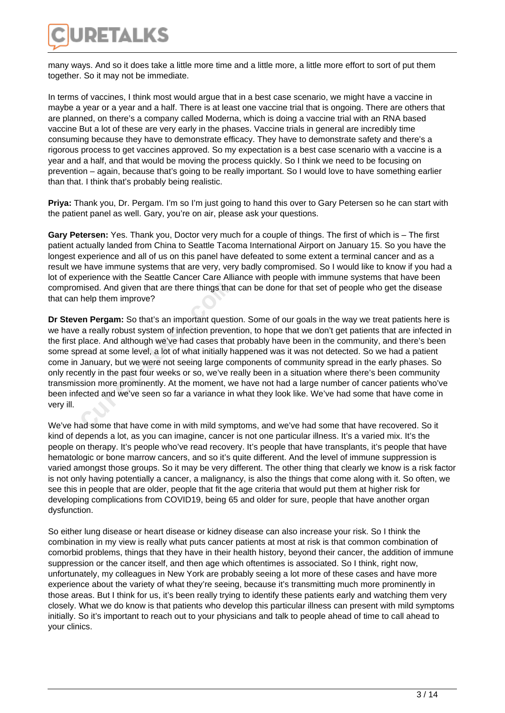

many ways. And so it does take a little more time and a little more, a little more effort to sort of put them together. So it may not be immediate.

In terms of vaccines, I think most would argue that in a best case scenario, we might have a vaccine in maybe a year or a year and a half. There is at least one vaccine trial that is ongoing. There are others that are planned, on there's a company called Moderna, which is doing a vaccine trial with an RNA based vaccine But a lot of these are very early in the phases. Vaccine trials in general are incredibly time consuming because they have to demonstrate efficacy. They have to demonstrate safety and there's a rigorous process to get vaccines approved. So my expectation is a best case scenario with a vaccine is a year and a half, and that would be moving the process quickly. So I think we need to be focusing on prevention – again, because that's going to be really important. So I would love to have something earlier than that. I think that's probably being realistic.

**Priya:** Thank you, Dr. Pergam. I'm so I'm just going to hand this over to Gary Petersen so he can start with the patient panel as well. Gary, you're on air, please ask your questions.

**Gary Petersen:** Yes. Thank you, Doctor very much for a couple of things. The first of which is – The first patient actually landed from China to Seattle Tacoma International Airport on January 15. So you have the longest experience and all of us on this panel have defeated to some extent a terminal cancer and as a result we have immune systems that are very, very badly compromised. So I would like to know if you had a lot of experience with the Seattle Cancer Care Alliance with people with immune systems that have been compromised. And given that are there things that can be done for that set of people who get the disease that can help them improve?

**Dr Steven Pergam:** So that's an important question. Some of our goals in the way we treat patients here is we have a really robust system of infection prevention, to hope that we don't get patients that are infected in the first place. And although we've had cases that probably have been in the community, and there's been some spread at some level, a lot of what initially happened was it was not detected. So we had a patient come in January, but we were not seeing large components of community spread in the early phases. So only recently in the past four weeks or so, we've really been in a situation where there's been community transmission more prominently. At the moment, we have not had a large number of cancer patients who've been infected and we've seen so far a variance in what they look like. We've had some that have come in very ill. nised. And given that are there things that<br>help them improve?<br>**Example 18 and the proper Set of the proper**<br>a really robust system of infection prever<br>place. And although we've had cases that<br>read at some level, a lot of

We've had some that have come in with mild symptoms, and we've had some that have recovered. So it kind of depends a lot, as you can imagine, cancer is not one particular illness. It's a varied mix. It's the people on therapy. It's people who've read recovery. It's people that have transplants, it's people that have hematologic or bone marrow cancers, and so it's quite different. And the level of immune suppression is varied amongst those groups. So it may be very different. The other thing that clearly we know is a risk factor is not only having potentially a cancer, a malignancy, is also the things that come along with it. So often, we see this in people that are older, people that fit the age criteria that would put them at higher risk for developing complications from COVID19, being 65 and older for sure, people that have another organ dysfunction.

So either lung disease or heart disease or kidney disease can also increase your risk. So I think the combination in my view is really what puts cancer patients at most at risk is that common combination of comorbid problems, things that they have in their health history, beyond their cancer, the addition of immune suppression or the cancer itself, and then age which oftentimes is associated. So I think, right now, unfortunately, my colleagues in New York are probably seeing a lot more of these cases and have more experience about the variety of what they're seeing, because it's transmitting much more prominently in those areas. But I think for us, it's been really trying to identify these patients early and watching them very closely. What we do know is that patients who develop this particular illness can present with mild symptoms initially. So it's important to reach out to your physicians and talk to people ahead of time to call ahead to your clinics.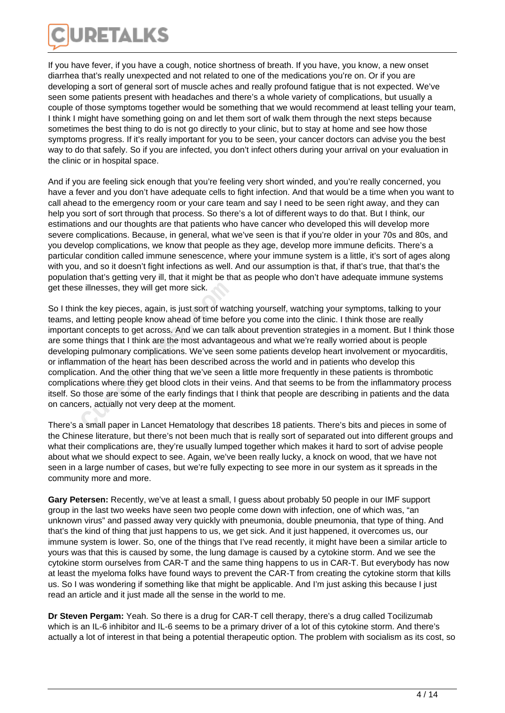

If you have fever, if you have a cough, notice shortness of breath. If you have, you know, a new onset diarrhea that's really unexpected and not related to one of the medications you're on. Or if you are developing a sort of general sort of muscle aches and really profound fatigue that is not expected. We've seen some patients present with headaches and there's a whole variety of complications, but usually a couple of those symptoms together would be something that we would recommend at least telling your team, I think I might have something going on and let them sort of walk them through the next steps because sometimes the best thing to do is not go directly to your clinic, but to stay at home and see how those symptoms progress. If it's really important for you to be seen, your cancer doctors can advise you the best way to do that safely. So if you are infected, you don't infect others during your arrival on your evaluation in the clinic or in hospital space.

And if you are feeling sick enough that you're feeling very short winded, and you're really concerned, you have a fever and you don't have adequate cells to fight infection. And that would be a time when you want to call ahead to the emergency room or your care team and say I need to be seen right away, and they can help you sort of sort through that process. So there's a lot of different ways to do that. But I think, our estimations and our thoughts are that patients who have cancer who developed this will develop more severe complications. Because, in general, what we've seen is that if you're older in your 70s and 80s, and you develop complications, we know that people as they age, develop more immune deficits. There's a particular condition called immune senescence, where your immune system is a little, it's sort of ages along with you, and so it doesn't fight infections as well. And our assumption is that, if that's true, that that's the population that's getting very ill, that it might be that as people who don't have adequate immune systems get these illnesses, they will get more sick.

So I think the key pieces, again, is just sort of watching yourself, watching your symptoms, talking to your teams, and letting people know ahead of time before you come into the clinic. I think those are really important concepts to get across. And we can talk about prevention strategies in a moment. But I think those are some things that I think are the most advantageous and what we're really worried about is people developing pulmonary complications. We've seen some patients develop heart involvement or myocarditis, or inflammation of the heart has been described across the world and in patients who develop this complication. And the other thing that we've seen a little more frequently in these patients is thrombotic complications where they get blood clots in their veins. And that seems to be from the inflammatory process itself. So those are some of the early findings that I think that people are describing in patients and the data on cancers, actually not very deep at the moment. Example illnesses, they will get more sick.<br>
K the key pieces, again, is just sort of wather that the key pieces, again, is just sort of wather that left<br>
that is the concepts to get across. And we can talk<br>
the things tha

There's a small paper in Lancet Hematology that describes 18 patients. There's bits and pieces in some of the Chinese literature, but there's not been much that is really sort of separated out into different groups and what their complications are, they're usually lumped together which makes it hard to sort of advise people about what we should expect to see. Again, we've been really lucky, a knock on wood, that we have not seen in a large number of cases, but we're fully expecting to see more in our system as it spreads in the community more and more.

**Gary Petersen:** Recently, we've at least a small, I guess about probably 50 people in our IMF support group in the last two weeks have seen two people come down with infection, one of which was, "an unknown virus" and passed away very quickly with pneumonia, double pneumonia, that type of thing. And that's the kind of thing that just happens to us, we get sick. And it just happened, it overcomes us, our immune system is lower. So, one of the things that I've read recently, it might have been a similar article to yours was that this is caused by some, the lung damage is caused by a cytokine storm. And we see the cytokine storm ourselves from CAR-T and the same thing happens to us in CAR-T. But everybody has now at least the myeloma folks have found ways to prevent the CAR-T from creating the cytokine storm that kills us. So I was wondering if something like that might be applicable. And I'm just asking this because I just read an article and it just made all the sense in the world to me.

**Dr Steven Pergam:** Yeah. So there is a drug for CAR-T cell therapy, there's a drug called Tocilizumab which is an IL-6 inhibitor and IL-6 seems to be a primary driver of a lot of this cytokine storm. And there's actually a lot of interest in that being a potential therapeutic option. The problem with socialism as its cost, so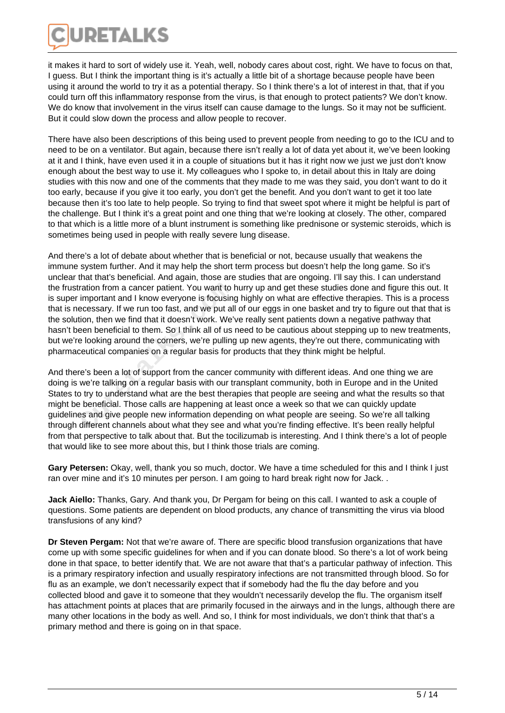

it makes it hard to sort of widely use it. Yeah, well, nobody cares about cost, right. We have to focus on that, I guess. But I think the important thing is it's actually a little bit of a shortage because people have been using it around the world to try it as a potential therapy. So I think there's a lot of interest in that, that if you could turn off this inflammatory response from the virus, is that enough to protect patients? We don't know. We do know that involvement in the virus itself can cause damage to the lungs. So it may not be sufficient. But it could slow down the process and allow people to recover.

There have also been descriptions of this being used to prevent people from needing to go to the ICU and to need to be on a ventilator. But again, because there isn't really a lot of data yet about it, we've been looking at it and I think, have even used it in a couple of situations but it has it right now we just we just don't know enough about the best way to use it. My colleagues who I spoke to, in detail about this in Italy are doing studies with this now and one of the comments that they made to me was they said, you don't want to do it too early, because if you give it too early, you don't get the benefit. And you don't want to get it too late because then it's too late to help people. So trying to find that sweet spot where it might be helpful is part of the challenge. But I think it's a great point and one thing that we're looking at closely. The other, compared to that which is a little more of a blunt instrument is something like prednisone or systemic steroids, which is sometimes being used in people with really severe lung disease.

And there's a lot of debate about whether that is beneficial or not, because usually that weakens the immune system further. And it may help the short term process but doesn't help the long game. So it's unclear that that's beneficial. And again, those are studies that are ongoing. I'll say this. I can understand the frustration from a cancer patient. You want to hurry up and get these studies done and figure this out. It is super important and I know everyone is focusing highly on what are effective therapies. This is a process that is necessary. If we run too fast, and we put all of our eggs in one basket and try to figure out that that is the solution, then we find that it doesn't work. We've really sent patients down a negative pathway that hasn't been beneficial to them. So I think all of us need to be cautious about stepping up to new treatments, but we're looking around the corners, we're pulling up new agents, they're out there, communicating with pharmaceutical companies on a regular basis for products that they think might be helpful. ration from a cancer patient. You want to<br>important and I know everyone is focusine<br>ecessary. If we run too fast, and we put al<br>ion, then we find that it doesn't work. We'<br>een beneficial to them. So I think all of us<br>elook

And there's been a lot of support from the cancer community with different ideas. And one thing we are doing is we're talking on a regular basis with our transplant community, both in Europe and in the United States to try to understand what are the best therapies that people are seeing and what the results so that might be beneficial. Those calls are happening at least once a week so that we can quickly update guidelines and give people new information depending on what people are seeing. So we're all talking through different channels about what they see and what you're finding effective. It's been really helpful from that perspective to talk about that. But the tocilizumab is interesting. And I think there's a lot of people that would like to see more about this, but I think those trials are coming.

**Gary Petersen:** Okay, well, thank you so much, doctor. We have a time scheduled for this and I think I just ran over mine and it's 10 minutes per person. I am going to hard break right now for Jack. .

**Jack Aiello:** Thanks, Gary. And thank you, Dr Pergam for being on this call. I wanted to ask a couple of questions. Some patients are dependent on blood products, any chance of transmitting the virus via blood transfusions of any kind?

**Dr Steven Pergam:** Not that we're aware of. There are specific blood transfusion organizations that have come up with some specific guidelines for when and if you can donate blood. So there's a lot of work being done in that space, to better identify that. We are not aware that that's a particular pathway of infection. This is a primary respiratory infection and usually respiratory infections are not transmitted through blood. So for flu as an example, we don't necessarily expect that if somebody had the flu the day before and you collected blood and gave it to someone that they wouldn't necessarily develop the flu. The organism itself has attachment points at places that are primarily focused in the airways and in the lungs, although there are many other locations in the body as well. And so, I think for most individuals, we don't think that that's a primary method and there is going on in that space.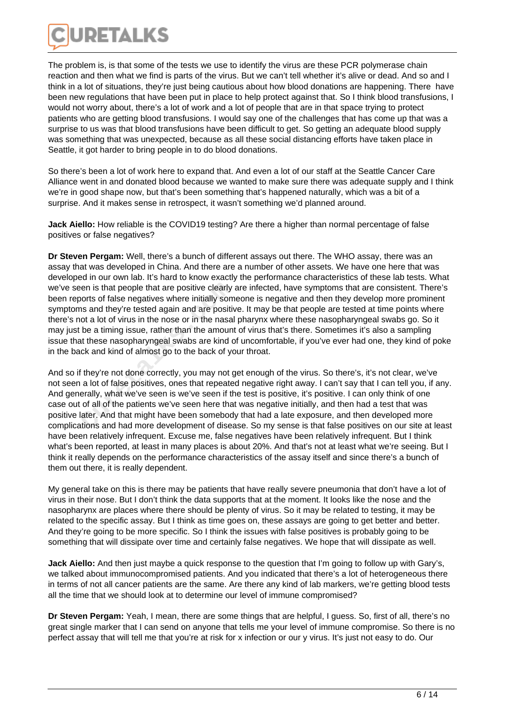

The problem is, is that some of the tests we use to identify the virus are these PCR polymerase chain reaction and then what we find is parts of the virus. But we can't tell whether it's alive or dead. And so and I think in a lot of situations, they're just being cautious about how blood donations are happening. There have been new regulations that have been put in place to help protect against that. So I think blood transfusions, I would not worry about, there's a lot of work and a lot of people that are in that space trying to protect patients who are getting blood transfusions. I would say one of the challenges that has come up that was a surprise to us was that blood transfusions have been difficult to get. So getting an adequate blood supply was something that was unexpected, because as all these social distancing efforts have taken place in Seattle, it got harder to bring people in to do blood donations.

So there's been a lot of work here to expand that. And even a lot of our staff at the Seattle Cancer Care Alliance went in and donated blood because we wanted to make sure there was adequate supply and I think we're in good shape now, but that's been something that's happened naturally, which was a bit of a surprise. And it makes sense in retrospect, it wasn't something we'd planned around.

**Jack Aiello:** How reliable is the COVID19 testing? Are there a higher than normal percentage of false positives or false negatives?

**Dr Steven Pergam:** Well, there's a bunch of different assays out there. The WHO assay, there was an assay that was developed in China. And there are a number of other assets. We have one here that was developed in our own lab. It's hard to know exactly the performance characteristics of these lab tests. What we've seen is that people that are positive clearly are infected, have symptoms that are consistent. There's been reports of false negatives where initially someone is negative and then they develop more prominent symptoms and they're tested again and are positive. It may be that people are tested at time points where there's not a lot of virus in the nose or in the nasal pharynx where these nasopharyngeal swabs go. So it may just be a timing issue, rather than the amount of virus that's there. Sometimes it's also a sampling issue that these nasopharyngeal swabs are kind of uncomfortable, if you've ever had one, they kind of poke in the back and kind of almost go to the back of your throat. Figure 1 is that people that are positive clearly<br>
oorts of false negatives where initially som<br>
ns and they're tested again and are positiv<br>
ot a lot of virus in the nose or in the nasal<br>
be a timing issue, rather than th

And so if they're not done correctly, you may not get enough of the virus. So there's, it's not clear, we've not seen a lot of false positives, ones that repeated negative right away. I can't say that I can tell you, if any. And generally, what we've seen is we've seen if the test is positive, it's positive. I can only think of one case out of all of the patients we've seen here that was negative initially, and then had a test that was positive later. And that might have been somebody that had a late exposure, and then developed more complications and had more development of disease. So my sense is that false positives on our site at least have been relatively infrequent. Excuse me, false negatives have been relatively infrequent. But I think what's been reported, at least in many places is about 20%. And that's not at least what we're seeing. But I think it really depends on the performance characteristics of the assay itself and since there's a bunch of them out there, it is really dependent.

My general take on this is there may be patients that have really severe pneumonia that don't have a lot of virus in their nose. But I don't think the data supports that at the moment. It looks like the nose and the nasopharynx are places where there should be plenty of virus. So it may be related to testing, it may be related to the specific assay. But I think as time goes on, these assays are going to get better and better. And they're going to be more specific. So I think the issues with false positives is probably going to be something that will dissipate over time and certainly false negatives. We hope that will dissipate as well.

**Jack Aiello:** And then just maybe a quick response to the question that I'm going to follow up with Gary's, we talked about immunocompromised patients. And you indicated that there's a lot of heterogeneous there in terms of not all cancer patients are the same. Are there any kind of lab markers, we're getting blood tests all the time that we should look at to determine our level of immune compromised?

**Dr Steven Pergam:** Yeah, I mean, there are some things that are helpful, I guess. So, first of all, there's no great single marker that I can send on anyone that tells me your level of immune compromise. So there is no perfect assay that will tell me that you're at risk for x infection or our y virus. It's just not easy to do. Our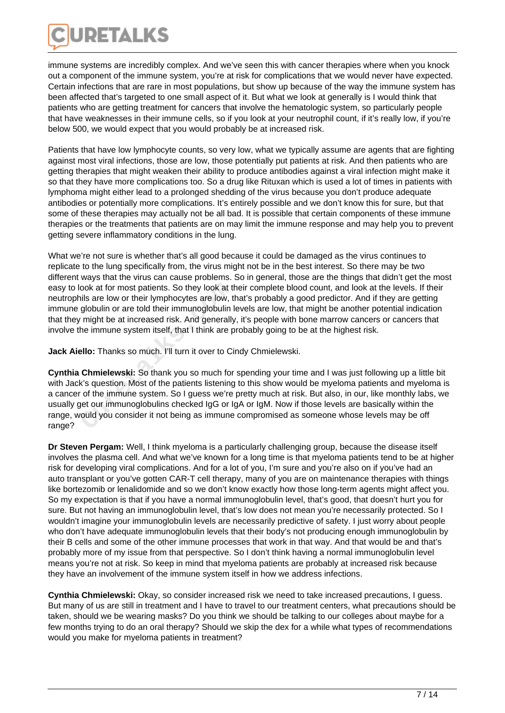

immune systems are incredibly complex. And we've seen this with cancer therapies where when you knock out a component of the immune system, you're at risk for complications that we would never have expected. Certain infections that are rare in most populations, but show up because of the way the immune system has been affected that's targeted to one small aspect of it. But what we look at generally is I would think that patients who are getting treatment for cancers that involve the hematologic system, so particularly people that have weaknesses in their immune cells, so if you look at your neutrophil count, if it's really low, if you're below 500, we would expect that you would probably be at increased risk.

Patients that have low lymphocyte counts, so very low, what we typically assume are agents that are fighting against most viral infections, those are low, those potentially put patients at risk. And then patients who are getting therapies that might weaken their ability to produce antibodies against a viral infection might make it so that they have more complications too. So a drug like Rituxan which is used a lot of times in patients with lymphoma might either lead to a prolonged shedding of the virus because you don't produce adequate antibodies or potentially more complications. It's entirely possible and we don't know this for sure, but that some of these therapies may actually not be all bad. It is possible that certain components of these immune therapies or the treatments that patients are on may limit the immune response and may help you to prevent getting severe inflammatory conditions in the lung.

What we're not sure is whether that's all good because it could be damaged as the virus continues to replicate to the lung specifically from, the virus might not be in the best interest. So there may be two different ways that the virus can cause problems. So in general, those are the things that didn't get the most easy to look at for most patients. So they look at their complete blood count, and look at the levels. If their neutrophils are low or their lymphocytes are low, that's probably a good predictor. And if they are getting immune globulin or are told their immunoglobulin levels are low, that might be another potential indication that they might be at increased risk. And generally, it's people with bone marrow cancers or cancers that involve the immune system itself, that I think are probably going to be at the highest risk.

**Jack Aiello:** Thanks so much. I'll turn it over to Cindy Chmielewski.

**Cynthia Chmielewski:** So thank you so much for spending your time and I was just following up a little bit with Jack's question. Most of the patients listening to this show would be myeloma patients and myeloma is a cancer of the immune system. So I guess we're pretty much at risk. But also, in our, like monthly labs, we usually get our immunoglobulins checked IgG or IgA or IgM. Now if those levels are basically within the range, would you consider it not being as immune compromised as someone whose levels may be off range? ook at for most patients. So they look at thils are low or their lymphocytes are low, the globulin or are told their immunoglobulin l' might be at increased risk. And generally he immune system itself, that I think are p<br>

**Dr Steven Pergam:** Well, I think myeloma is a particularly challenging group, because the disease itself involves the plasma cell. And what we've known for a long time is that myeloma patients tend to be at higher risk for developing viral complications. And for a lot of you, I'm sure and you're also on if you've had an auto transplant or you've gotten CAR-T cell therapy, many of you are on maintenance therapies with things like bortezomib or lenalidomide and so we don't know exactly how those long-term agents might affect you. So my expectation is that if you have a normal immunoglobulin level, that's good, that doesn't hurt you for sure. But not having an immunoglobulin level, that's low does not mean you're necessarily protected. So I wouldn't imagine your immunoglobulin levels are necessarily predictive of safety. I just worry about people who don't have adequate immunoglobulin levels that their body's not producing enough immunoglobulin by their B cells and some of the other immune processes that work in that way. And that would be and that's probably more of my issue from that perspective. So I don't think having a normal immunoglobulin level means you're not at risk. So keep in mind that myeloma patients are probably at increased risk because they have an involvement of the immune system itself in how we address infections.

**Cynthia Chmielewski:** Okay, so consider increased risk we need to take increased precautions, I guess. But many of us are still in treatment and I have to travel to our treatment centers, what precautions should be taken, should we be wearing masks? Do you think we should be talking to our colleges about maybe for a few months trying to do an oral therapy? Should we skip the dex for a while what types of recommendations would you make for myeloma patients in treatment?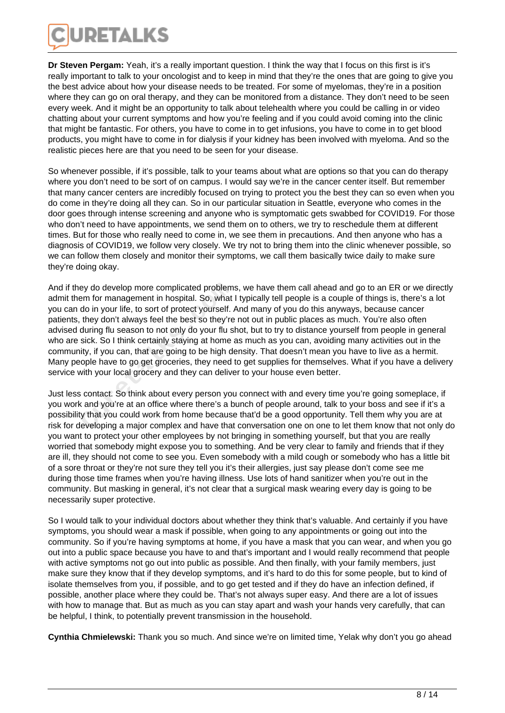

**Dr Steven Pergam:** Yeah, it's a really important question. I think the way that I focus on this first is it's really important to talk to your oncologist and to keep in mind that they're the ones that are going to give you the best advice about how your disease needs to be treated. For some of myelomas, they're in a position where they can go on oral therapy, and they can be monitored from a distance. They don't need to be seen every week. And it might be an opportunity to talk about telehealth where you could be calling in or video chatting about your current symptoms and how you're feeling and if you could avoid coming into the clinic that might be fantastic. For others, you have to come in to get infusions, you have to come in to get blood products, you might have to come in for dialysis if your kidney has been involved with myeloma. And so the realistic pieces here are that you need to be seen for your disease.

So whenever possible, if it's possible, talk to your teams about what are options so that you can do therapy where you don't need to be sort of on campus. I would say we're in the cancer center itself. But remember that many cancer centers are incredibly focused on trying to protect you the best they can so even when you do come in they're doing all they can. So in our particular situation in Seattle, everyone who comes in the door goes through intense screening and anyone who is symptomatic gets swabbed for COVID19. For those who don't need to have appointments, we send them on to others, we try to reschedule them at different times. But for those who really need to come in, we see them in precautions. And then anyone who has a diagnosis of COVID19, we follow very closely. We try not to bring them into the clinic whenever possible, so we can follow them closely and monitor their symptoms, we call them basically twice daily to make sure they're doing okay.

And if they do develop more complicated problems, we have them call ahead and go to an ER or we directly admit them for management in hospital. So, what I typically tell people is a couple of things is, there's a lot you can do in your life, to sort of protect yourself. And many of you do this anyways, because cancer patients, they don't always feel the best so they're not out in public places as much. You're also often advised during flu season to not only do your flu shot, but to try to distance yourself from people in general who are sick. So I think certainly staying at home as much as you can, avoiding many activities out in the community, if you can, that are going to be high density. That doesn't mean you have to live as a hermit. Many people have to go get groceries, they need to get supplies for themselves. What if you have a delivery service with your local grocery and they can deliver to your house even better. ey do develop more complicated problem<br>em for management in hospital. So, what<br>do in your life, to sort of protect yourself. *i*<br>they don't always feel the best so they're<br>during flu season to not only do your flu s<br>sick.

Just less contact. So think about every person you connect with and every time you're going someplace, if you work and you're at an office where there's a bunch of people around, talk to your boss and see if it's a possibility that you could work from home because that'd be a good opportunity. Tell them why you are at risk for developing a major complex and have that conversation one on one to let them know that not only do you want to protect your other employees by not bringing in something yourself, but that you are really worried that somebody might expose you to something. And be very clear to family and friends that if they are ill, they should not come to see you. Even somebody with a mild cough or somebody who has a little bit of a sore throat or they're not sure they tell you it's their allergies, just say please don't come see me during those time frames when you're having illness. Use lots of hand sanitizer when you're out in the community. But masking in general, it's not clear that a surgical mask wearing every day is going to be necessarily super protective.

So I would talk to your individual doctors about whether they think that's valuable. And certainly if you have symptoms, you should wear a mask if possible, when going to any appointments or going out into the community. So if you're having symptoms at home, if you have a mask that you can wear, and when you go out into a public space because you have to and that's important and I would really recommend that people with active symptoms not go out into public as possible. And then finally, with your family members, just make sure they know that if they develop symptoms, and it's hard to do this for some people, but to kind of isolate themselves from you, if possible, and to go get tested and if they do have an infection defined, if possible, another place where they could be. That's not always super easy. And there are a lot of issues with how to manage that. But as much as you can stay apart and wash your hands very carefully, that can be helpful, I think, to potentially prevent transmission in the household.

**Cynthia Chmielewski:** Thank you so much. And since we're on limited time, Yelak why don't you go ahead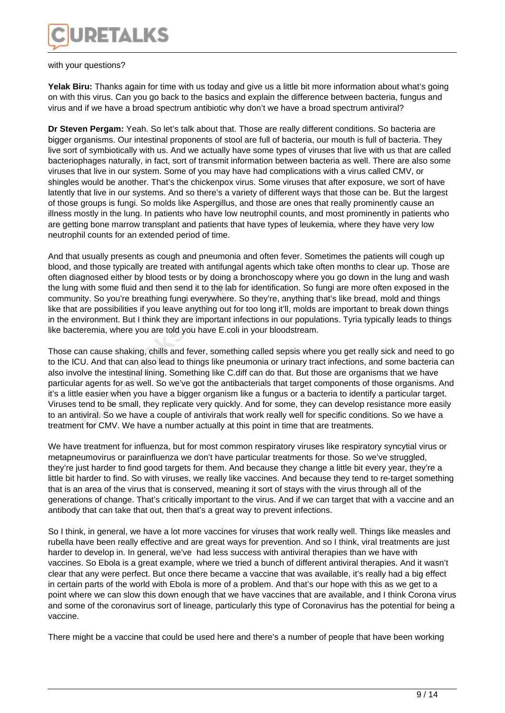

with your questions?

Yelak Biru: Thanks again for time with us today and give us a little bit more information about what's going on with this virus. Can you go back to the basics and explain the difference between bacteria, fungus and virus and if we have a broad spectrum antibiotic why don't we have a broad spectrum antiviral?

**Dr Steven Pergam:** Yeah. So let's talk about that. Those are really different conditions. So bacteria are bigger organisms. Our intestinal proponents of stool are full of bacteria, our mouth is full of bacteria. They live sort of symbiotically with us. And we actually have some types of viruses that live with us that are called bacteriophages naturally, in fact, sort of transmit information between bacteria as well. There are also some viruses that live in our system. Some of you may have had complications with a virus called CMV, or shingles would be another. That's the chickenpox virus. Some viruses that after exposure, we sort of have latently that live in our systems. And so there's a variety of different ways that those can be. But the largest of those groups is fungi. So molds like Aspergillus, and those are ones that really prominently cause an illness mostly in the lung. In patients who have low neutrophil counts, and most prominently in patients who are getting bone marrow transplant and patients that have types of leukemia, where they have very low neutrophil counts for an extended period of time.

And that usually presents as cough and pneumonia and often fever. Sometimes the patients will cough up blood, and those typically are treated with antifungal agents which take often months to clear up. Those are often diagnosed either by blood tests or by doing a bronchoscopy where you go down in the lung and wash the lung with some fluid and then send it to the lab for identification. So fungi are more often exposed in the community. So you're breathing fungi everywhere. So they're, anything that's like bread, mold and things like that are possibilities if you leave anything out for too long it'll, molds are important to break down things in the environment. But I think they are important infections in our populations. Tyria typically leads to things like bacteremia, where you are told you have E.coli in your bloodstream.

Those can cause shaking, chills and fever, something called sepsis where you get really sick and need to go to the ICU. And that can also lead to things like pneumonia or urinary tract infections, and some bacteria can also involve the intestinal lining. Something like C.diff can do that. But those are organisms that we have particular agents for as well. So we've got the antibacterials that target components of those organisms. And it's a little easier when you have a bigger organism like a fungus or a bacteria to identify a particular target. Viruses tend to be small, they replicate very quickly. And for some, they can develop resistance more easily to an antiviral. So we have a couple of antivirals that work really well for specific conditions. So we have a treatment for CMV. We have a number actually at this point in time that are treatments. with some fluid and then send it to the lat<br>ity. So you're breathing fungi everywhere<br>are possibilities if you leave anything out<br>vironment. But I think they are important i<br>eremia, where you are told you have E.cc<br>an caus

We have treatment for influenza, but for most common respiratory viruses like respiratory syncytial virus or metapneumovirus or parainfluenza we don't have particular treatments for those. So we've struggled, they're just harder to find good targets for them. And because they change a little bit every year, they're a little bit harder to find. So with viruses, we really like vaccines. And because they tend to re-target something that is an area of the virus that is conserved, meaning it sort of stays with the virus through all of the generations of change. That's critically important to the virus. And if we can target that with a vaccine and an antibody that can take that out, then that's a great way to prevent infections.

So I think, in general, we have a lot more vaccines for viruses that work really well. Things like measles and rubella have been really effective and are great ways for prevention. And so I think, viral treatments are just harder to develop in. In general, we've had less success with antiviral therapies than we have with vaccines. So Ebola is a great example, where we tried a bunch of different antiviral therapies. And it wasn't clear that any were perfect. But once there became a vaccine that was available, it's really had a big effect in certain parts of the world with Ebola is more of a problem. And that's our hope with this as we get to a point where we can slow this down enough that we have vaccines that are available, and I think Corona virus and some of the coronavirus sort of lineage, particularly this type of Coronavirus has the potential for being a vaccine.

There might be a vaccine that could be used here and there's a number of people that have been working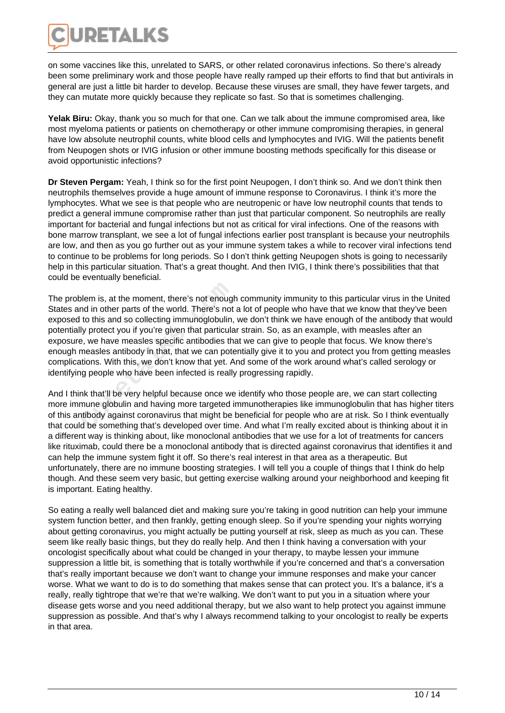

on some vaccines like this, unrelated to SARS, or other related coronavirus infections. So there's already been some preliminary work and those people have really ramped up their efforts to find that but antivirals in general are just a little bit harder to develop. Because these viruses are small, they have fewer targets, and they can mutate more quickly because they replicate so fast. So that is sometimes challenging.

**Yelak Biru:** Okay, thank you so much for that one. Can we talk about the immune compromised area, like most myeloma patients or patients on chemotherapy or other immune compromising therapies, in general have low absolute neutrophil counts, white blood cells and lymphocytes and IVIG. Will the patients benefit from Neupogen shots or IVIG infusion or other immune boosting methods specifically for this disease or avoid opportunistic infections?

**Dr Steven Pergam:** Yeah, I think so for the first point Neupogen, I don't think so. And we don't think then neutrophils themselves provide a huge amount of immune response to Coronavirus. I think it's more the lymphocytes. What we see is that people who are neutropenic or have low neutrophil counts that tends to predict a general immune compromise rather than just that particular component. So neutrophils are really important for bacterial and fungal infections but not as critical for viral infections. One of the reasons with bone marrow transplant, we see a lot of fungal infections earlier post transplant is because your neutrophils are low, and then as you go further out as your immune system takes a while to recover viral infections tend to continue to be problems for long periods. So I don't think getting Neupogen shots is going to necessarily help in this particular situation. That's a great thought. And then IVIG, I think there's possibilities that that could be eventually beneficial.

The problem is, at the moment, there's not enough community immunity to this particular virus in the United States and in other parts of the world. There's not a lot of people who have that we know that they've been exposed to this and so collecting immunoglobulin, we don't think we have enough of the antibody that would potentially protect you if you're given that particular strain. So, as an example, with measles after an exposure, we have measles specific antibodies that we can give to people that focus. We know there's enough measles antibody in that, that we can potentially give it to you and protect you from getting measles complications. With this, we don't know that yet. And some of the work around what's called serology or identifying people who have been infected is really progressing rapidly. blem is, at the moment, there's not enougl<br>nd in other parts of the world. There's not<br>to this and so collecting immunoglobulin,<br>ly protect you if you're given that particula<br>e, we have measles specific antibodies th<br>measl

And I think that'll be very helpful because once we identify who those people are, we can start collecting more immune globulin and having more targeted immunotherapies like immunoglobulin that has higher titers of this antibody against coronavirus that might be beneficial for people who are at risk. So I think eventually that could be something that's developed over time. And what I'm really excited about is thinking about it in a different way is thinking about, like monoclonal antibodies that we use for a lot of treatments for cancers like rituximab, could there be a monoclonal antibody that is directed against coronavirus that identifies it and can help the immune system fight it off. So there's real interest in that area as a therapeutic. But unfortunately, there are no immune boosting strategies. I will tell you a couple of things that I think do help though. And these seem very basic, but getting exercise walking around your neighborhood and keeping fit is important. Eating healthy.

So eating a really well balanced diet and making sure you're taking in good nutrition can help your immune system function better, and then frankly, getting enough sleep. So if you're spending your nights worrying about getting coronavirus, you might actually be putting yourself at risk, sleep as much as you can. These seem like really basic things, but they do really help. And then I think having a conversation with your oncologist specifically about what could be changed in your therapy, to maybe lessen your immune suppression a little bit, is something that is totally worthwhile if you're concerned and that's a conversation that's really important because we don't want to change your immune responses and make your cancer worse. What we want to do is to do something that makes sense that can protect you. It's a balance, it's a really, really tightrope that we're that we're walking. We don't want to put you in a situation where your disease gets worse and you need additional therapy, but we also want to help protect you against immune suppression as possible. And that's why I always recommend talking to your oncologist to really be experts in that area.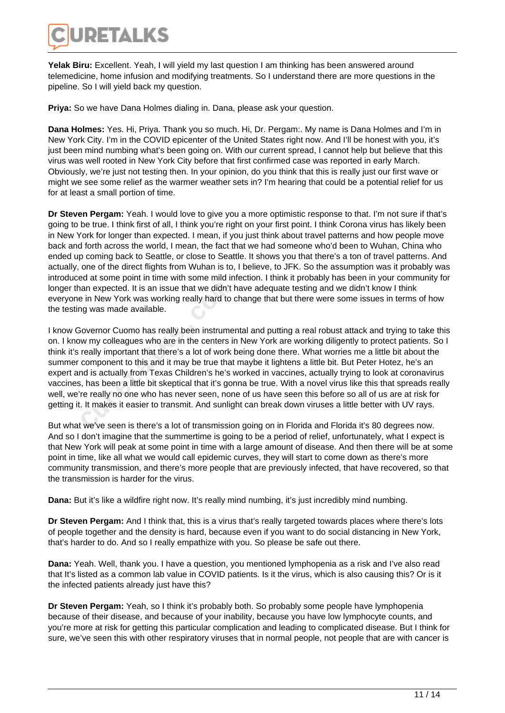

**Yelak Biru:** Excellent. Yeah, I will yield my last question I am thinking has been answered around telemedicine, home infusion and modifying treatments. So I understand there are more questions in the pipeline. So I will yield back my question.

**Priya:** So we have Dana Holmes dialing in. Dana, please ask your question.

**Dana Holmes:** Yes. Hi, Priya. Thank you so much. Hi, Dr. Pergam:. My name is Dana Holmes and I'm in New York City. I'm in the COVID epicenter of the United States right now. And I'll be honest with you, it's just been mind numbing what's been going on. With our current spread, I cannot help but believe that this virus was well rooted in New York City before that first confirmed case was reported in early March. Obviously, we're just not testing then. In your opinion, do you think that this is really just our first wave or might we see some relief as the warmer weather sets in? I'm hearing that could be a potential relief for us for at least a small portion of time.

**Dr Steven Pergam:** Yeah. I would love to give you a more optimistic response to that. I'm not sure if that's going to be true. I think first of all, I think you're right on your first point. I think Corona virus has likely been in New York for longer than expected. I mean, if you just think about travel patterns and how people move back and forth across the world, I mean, the fact that we had someone who'd been to Wuhan, China who ended up coming back to Seattle, or close to Seattle. It shows you that there's a ton of travel patterns. And actually, one of the direct flights from Wuhan is to, I believe, to JFK. So the assumption was it probably was introduced at some point in time with some mild infection. I think it probably has been in your community for longer than expected. It is an issue that we didn't have adequate testing and we didn't know I think everyone in New York was working really hard to change that but there were some issues in terms of how the testing was made available.

I know Governor Cuomo has really been instrumental and putting a real robust attack and trying to take this on. I know my colleagues who are in the centers in New York are working diligently to protect patients. So I think it's really important that there's a lot of work being done there. What worries me a little bit about the summer component to this and it may be true that maybe it lightens a little bit. But Peter Hotez, he's an expert and is actually from Texas Children's he's worked in vaccines, actually trying to look at coronavirus vaccines, has been a little bit skeptical that it's gonna be true. With a novel virus like this that spreads really well, we're really no one who has never seen, none of us have seen this before so all of us are at risk for getting it. It makes it easier to transmit. And sunlight can break down viruses a little better with UV rays. ian expected. It is an issue that we didn't<br>
e in New York was working really hard to<br>
ig was made available.<br>
Sovernor Cuomo has really been instrume<br>
w my colleagues who are in the centers in<br>
really important that there

But what we've seen is there's a lot of transmission going on in Florida and Florida it's 80 degrees now. And so I don't imagine that the summertime is going to be a period of relief, unfortunately, what I expect is that New York will peak at some point in time with a large amount of disease. And then there will be at some point in time, like all what we would call epidemic curves, they will start to come down as there's more community transmission, and there's more people that are previously infected, that have recovered, so that the transmission is harder for the virus.

**Dana:** But it's like a wildfire right now. It's really mind numbing, it's just incredibly mind numbing.

**Dr Steven Pergam:** And I think that, this is a virus that's really targeted towards places where there's lots of people together and the density is hard, because even if you want to do social distancing in New York, that's harder to do. And so I really empathize with you. So please be safe out there.

**Dana:** Yeah. Well, thank you. I have a question, you mentioned lymphopenia as a risk and I've also read that It's listed as a common lab value in COVID patients. Is it the virus, which is also causing this? Or is it the infected patients already just have this?

**Dr Steven Pergam:** Yeah, so I think it's probably both. So probably some people have lymphopenia because of their disease, and because of your inability, because you have low lymphocyte counts, and you're more at risk for getting this particular complication and leading to complicated disease. But I think for sure, we've seen this with other respiratory viruses that in normal people, not people that are with cancer is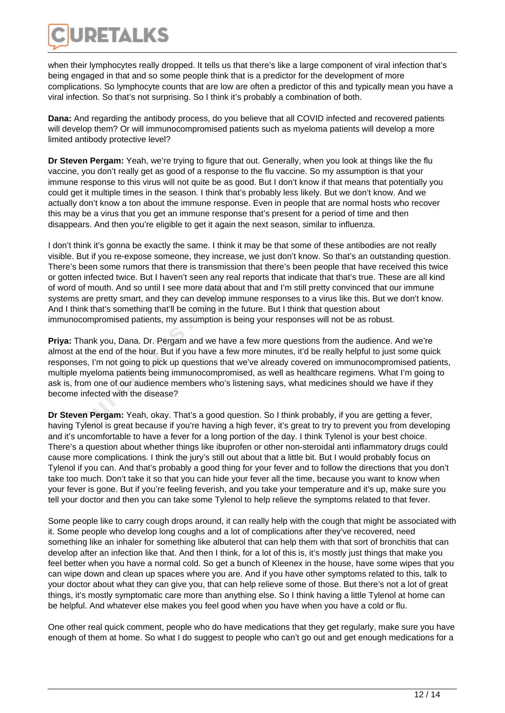

when their lymphocytes really dropped. It tells us that there's like a large component of viral infection that's being engaged in that and so some people think that is a predictor for the development of more complications. So lymphocyte counts that are low are often a predictor of this and typically mean you have a viral infection. So that's not surprising. So I think it's probably a combination of both.

**Dana:** And regarding the antibody process, do you believe that all COVID infected and recovered patients will develop them? Or will immunocompromised patients such as myeloma patients will develop a more limited antibody protective level?

**Dr Steven Pergam:** Yeah, we're trying to figure that out. Generally, when you look at things like the flu vaccine, you don't really get as good of a response to the flu vaccine. So my assumption is that your immune response to this virus will not quite be as good. But I don't know if that means that potentially you could get it multiple times in the season. I think that's probably less likely. But we don't know. And we actually don't know a ton about the immune response. Even in people that are normal hosts who recover this may be a virus that you get an immune response that's present for a period of time and then disappears. And then you're eligible to get it again the next season, similar to influenza.

I don't think it's gonna be exactly the same. I think it may be that some of these antibodies are not really visible. But if you re-expose someone, they increase, we just don't know. So that's an outstanding question. There's been some rumors that there is transmission that there's been people that have received this twice or gotten infected twice. But I haven't seen any real reports that indicate that that's true. These are all kind of word of mouth. And so until I see more data about that and I'm still pretty convinced that our immune systems are pretty smart, and they can develop immune responses to a virus like this. But we don't know. And I think that's something that'll be coming in the future. But I think that question about immunocompromised patients, my assumption is being your responses will not be as robust.

**Priya:** Thank you, Dana. Dr. Pergam and we have a few more questions from the audience. And we're almost at the end of the hour. But if you have a few more minutes, it'd be really helpful to just some quick responses, I'm not going to pick up questions that we've already covered on immunocompromised patients, multiple myeloma patients being immunocompromised, as well as healthcare regimens. What I'm going to ask is, from one of our audience members who's listening says, what medicines should we have if they become infected with the disease? of mouth. And so until I see more data ab<br>are pretty smart, and they can develop in<br>mk that's something that'll be coming in th<br>compromised patients, my assumption is<br>hank you, Dana. Dr. Pergam and we have<br>t the end of the

**Dr Steven Pergam:** Yeah, okay. That's a good question. So I think probably, if you are getting a fever, having Tylenol is great because if you're having a high fever, it's great to try to prevent you from developing and it's uncomfortable to have a fever for a long portion of the day. I think Tylenol is your best choice. There's a question about whether things like ibuprofen or other non-steroidal anti inflammatory drugs could cause more complications. I think the jury's still out about that a little bit. But I would probably focus on Tylenol if you can. And that's probably a good thing for your fever and to follow the directions that you don't take too much. Don't take it so that you can hide your fever all the time, because you want to know when your fever is gone. But if you're feeling feverish, and you take your temperature and it's up, make sure you tell your doctor and then you can take some Tylenol to help relieve the symptoms related to that fever.

Some people like to carry cough drops around, it can really help with the cough that might be associated with it. Some people who develop long coughs and a lot of complications after they've recovered, need something like an inhaler for something like albuterol that can help them with that sort of bronchitis that can develop after an infection like that. And then I think, for a lot of this is, it's mostly just things that make you feel better when you have a normal cold. So get a bunch of Kleenex in the house, have some wipes that you can wipe down and clean up spaces where you are. And if you have other symptoms related to this, talk to your doctor about what they can give you, that can help relieve some of those. But there's not a lot of great things, it's mostly symptomatic care more than anything else. So I think having a little Tylenol at home can be helpful. And whatever else makes you feel good when you have when you have a cold or flu.

One other real quick comment, people who do have medications that they get regularly, make sure you have enough of them at home. So what I do suggest to people who can't go out and get enough medications for a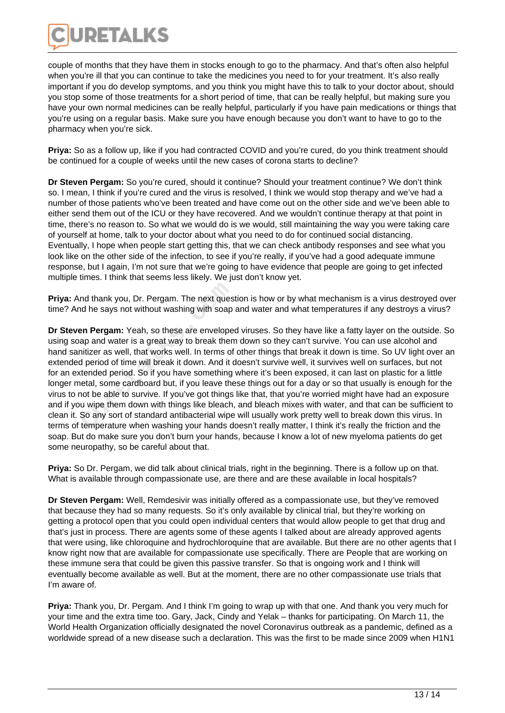

couple of months that they have them in stocks enough to go to the pharmacy. And that's often also helpful when you're ill that you can continue to take the medicines you need to for your treatment. It's also really important if you do develop symptoms, and you think you might have this to talk to your doctor about, should you stop some of those treatments for a short period of time, that can be really helpful, but making sure you have your own normal medicines can be really helpful, particularly if you have pain medications or things that you're using on a regular basis. Make sure you have enough because you don't want to have to go to the pharmacy when you're sick.

**Priya:** So as a follow up, like if you had contracted COVID and you're cured, do you think treatment should be continued for a couple of weeks until the new cases of corona starts to decline?

**Dr Steven Pergam:** So you're cured, should it continue? Should your treatment continue? We don't think so. I mean, I think if you're cured and the virus is resolved, I think we would stop therapy and we've had a number of those patients who've been treated and have come out on the other side and we've been able to either send them out of the ICU or they have recovered. And we wouldn't continue therapy at that point in time, there's no reason to. So what we would do is we would, still maintaining the way you were taking care of yourself at home, talk to your doctor about what you need to do for continued social distancing. Eventually, I hope when people start getting this, that we can check antibody responses and see what you look like on the other side of the infection, to see if you're really, if you've had a good adequate immune response, but I again, I'm not sure that we're going to have evidence that people are going to get infected multiple times. I think that seems less likely. We just don't know yet.

**Priya:** And thank you, Dr. Pergam. The next question is how or by what mechanism is a virus destroyed over time? And he says not without washing with soap and water and what temperatures if any destroys a virus?

**Dr Steven Pergam:** Yeah, so these are enveloped viruses. So they have like a fatty layer on the outside. So using soap and water is a great way to break them down so they can't survive. You can use alcohol and hand sanitizer as well, that works well. In terms of other things that break it down is time. So UV light over an extended period of time will break it down. And it doesn't survive well, it survives well on surfaces, but not for an extended period. So if you have something where it's been exposed, it can last on plastic for a little longer metal, some cardboard but, if you leave these things out for a day or so that usually is enough for the virus to not be able to survive. If you've got things like that, that you're worried might have had an exposure and if you wipe them down with things like bleach, and bleach mixes with water, and that can be sufficient to clean it. So any sort of standard antibacterial wipe will usually work pretty well to break down this virus. In terms of temperature when washing your hands doesn't really matter, I think it's really the friction and the soap. But do make sure you don't burn your hands, because I know a lot of new myeloma patients do get some neuropathy, so be careful about that. nd thank you, Dr. Pergam. The next ques<br>id he says not without washing with soap<br>**an Pergam:** Yeah, so these are envelope<br>ap and water is a great way to break then<br>intizer as well, that works well. In terms of<br>d period of

**Priya:** So Dr. Pergam, we did talk about clinical trials, right in the beginning. There is a follow up on that. What is available through compassionate use, are there and are these available in local hospitals?

**Dr Steven Pergam:** Well, Remdesivir was initially offered as a compassionate use, but they've removed that because they had so many requests. So it's only available by clinical trial, but they're working on getting a protocol open that you could open individual centers that would allow people to get that drug and that's just in process. There are agents some of these agents I talked about are already approved agents that were using, like chloroquine and hydrochloroquine that are available. But there are no other agents that I know right now that are available for compassionate use specifically. There are People that are working on these immune sera that could be given this passive transfer. So that is ongoing work and I think will eventually become available as well. But at the moment, there are no other compassionate use trials that I'm aware of.

**Priya:** Thank you, Dr. Pergam. And I think I'm going to wrap up with that one. And thank you very much for your time and the extra time too. Gary, Jack, Cindy and Yelak – thanks for participating. On March 11, the World Health Organization officially designated the novel Coronavirus outbreak as a pandemic, defined as a worldwide spread of a new disease such a declaration. This was the first to be made since 2009 when H1N1